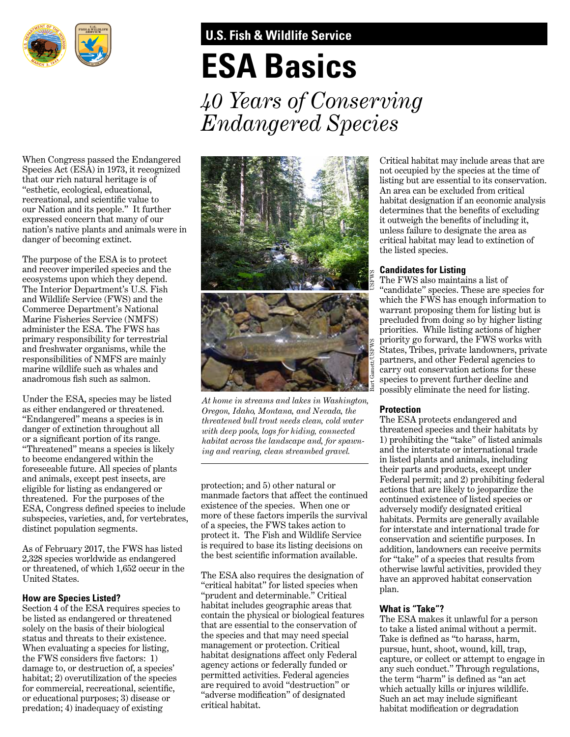

# **U.S. Fish & Wildlife Service**

# **ESA Basics**

*40 Years of Conserving Endangered Species* 

When Congress passed the Endangered Species Act (ESA) in 1973, it recognized that our rich natural heritage is of "esthetic, ecological, educational, recreational, and scientifc value to our Nation and its people." It further expressed concern that many of our nation's native plants and animals were in danger of becoming extinct.

The purpose of the ESA is to protect and recover imperiled species and the ecosystems upon which they depend. The Interior Department's U.S. Fish and Wildlife Service (FWS) and the Commerce Department's National Marine Fisheries Service (NMFS) administer the ESA. The FWS has primary responsibility for terrestrial and freshwater organisms, while the responsibilities of NMFS are mainly marine wildlife such as whales and anadromous fsh such as salmon.

Under the ESA, species may be listed as either endangered or threatened. "Endangered" means a species is in danger of extinction throughout all or a signifcant portion of its range. "Threatened" means a species is likely to become endangered within the foreseeable future. All species of plants and animals, except pest insects, are eligible for listing as endangered or threatened. For the purposes of the ESA, Congress defned species to include subspecies, varieties, and, for vertebrates, distinct population segments.

As of February 2017, the FWS has listed 2,328 species worldwide as endangered or threatened, of which 1,652 occur in the United States.

# **How are Species Listed?**

Section 4 of the ESA requires species to be listed as endangered or threatened solely on the basis of their biological status and threats to their existence. When evaluating a species for listing, the FWS considers fve factors: 1) damage to, or destruction of, a species' habitat; 2) overutilization of the species for commercial, recreational, scientifc, or educational purposes; 3) disease or predation; 4) inadequacy of existing



*At home in streams and lakes in Washington, Oregon, Idaho, Montana, and Nevada, the threatened bull trout needs clean, cold water with deep pools, logs for hiding, connected habitat across the landscape and, for spawning and rearing, clean streambed gravel.* 

protection; and 5) other natural or manmade factors that affect the continued existence of the species. When one or more of these factors imperils the survival of a species, the FWS takes action to protect it. The Fish and Wildlife Service is required to base its listing decisions on the best scientifc information available.

The ESA also requires the designation of "critical habitat" for listed species when "prudent and determinable." Critical habitat includes geographic areas that contain the physical or biological features that are essential to the conservation of the species and that may need special management or protection. Critical habitat designations affect only Federal agency actions or federally funded or permitted activities. Federal agencies are required to avoid "destruction" or "adverse modifcation" of designated critical habitat.

 listing but are essential to its conservation. An area can be excluded from critical Critical habitat may include areas that are not occupied by the species at the time of habitat designation if an economic analysis determines that the benefts of excluding it outweigh the benefts of including it, unless failure to designate the area as critical habitat may lead to extinction of the listed species.

# **Candidates for Listing**

The FWS also maintains a list of "candidate" species. These are species for which the FWS has enough information to warrant proposing them for listing but is precluded from doing so by higher listing priorities. While listing actions of higher priority go forward, the FWS works with States, Tribes, private landowners, private partners, and other Federal agencies to carry out conservation actions for these species to prevent further decline and possibly eliminate the need for listing.

# **Protection**

The ESA protects endangered and threatened species and their habitats by 1) prohibiting the "take" of listed animals and the interstate or international trade in listed plants and animals, including their parts and products, except under Federal permit; and 2) prohibiting federal actions that are likely to jeopardize the continued existence of listed species or adversely modify designated critical habitats. Permits are generally available for interstate and international trade for conservation and scientifc purposes. In addition, landowners can receive permits for "take" of a species that results from otherwise lawful activities, provided they have an approved habitat conservation plan.

# **What is "Take"?**

The ESA makes it unlawful for a person to take a listed animal without a permit. Take is defned as "to harass, harm, pursue, hunt, shoot, wound, kill, trap, capture, or collect or attempt to engage in any such conduct." Through regulations, the term "harm" is defned as "an act which actually kills or injures wildlife. Such an act may include signifcant habitat modifcation or degradation